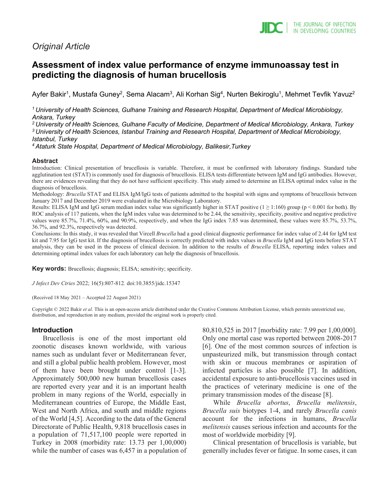## *Original Article*

# **Assessment of index value performance of enzyme immunoassay test in predicting the diagnosis of human brucellosis**

Ayfer Bakir<sup>1</sup>, Mustafa Guney<sup>2</sup>, Sema Alacam<sup>3</sup>, Ali Korhan Sig<sup>4</sup>, Nurten Bekiroglu<sup>1</sup>, Mehmet Tevfik Yavuz<sup>2</sup>

*1 University of Health Sciences, Gulhane Training and Research Hospital, Department of Medical Microbiology, Ankara, Turkey*

*2 University of Health Sciences, Gulhane Faculty of Medicine, Department of Medical Microbiology, Ankara, Turkey 3 University of Health Sciences, Istanbul Training and Research Hospital, Department of Medical Microbiology, Istanbul, Turkey*

*4 Ataturk State Hospital, Department of Medical Microbiology, Balikesir,Turkey*

## **Abstract**

Introduction: Clinical presentation of brucellosis is variable. Therefore, it must be confirmed with laboratory findings. Standard tube agglutination test (STAT) is commonly used for diagnosis of brucellosis. ELISA tests differentiate between IgM and IgG antibodies. However, there are evidences revealing that they do not have sufficient specificity. This study aimed to determine an ELISA optimal index value in the diagnosis of brucellosis.

Methodology: *Brucella* STAT and ELISA IgM/IgG tests of patients admitted to the hospital with signs and symptoms of brucellosis between January 2017 and December 2019 were evaluated in the Microbiology Laboratory.

Results: ELISA IgM and IgG serum median index value was significantly higher in STAT positive  $(1 \ge 1:160)$  group (p < 0.001 for both). By ROC analysis of 117 patients, when the IgM index value was determined to be 2.44, the sensitivity, specificity, positive and negative predictive values were 85.7%, 71.4%, 60%, and 90.9%, respectively, and when the IgG index 7.85 was determined, these values were 85.7%, 53.7%, 36.7%, and 92.3%, respectively was detected.

Conclusions: In this study, it was revealed that Vircell *Brucella* had a good clinical diagnostic performance for index value of 2.44 for IgM test kit and 7.95 for IgG test kit. If the diagnosis of brucellosis is correctly predicted with index values in *Brucella* IgM and IgG tests before STAT analysis, they can be used in the process of clinical decision. In addition to the results of *Brucella* ELISA, reporting index values and determining optimal index values for each laboratory can help the diagnosis of brucellosis.

**Key words:** Brucellosis; diagnosis; ELISA; sensitivity; specificity.

*J Infect Dev Ctries* 2022; 16(5):807-812*.* doi:10.3855/jidc.15347

(Received 18 May 2021 – Accepted 22 August 2021)

Copyright © 2022 Bakir *et al*. This is an open-access article distributed under the Creative Commons Attribution License, which permits unrestricted use, distribution, and reproduction in any medium, provided the original work is properly cited.

## **Introduction**

Brucellosis is one of the most important old zoonotic diseases known worldwide, with various names such as undulant fever or Mediterranean fever, and still a global public health problem. However, most of them have been brought under control [1-3]. Approximately 500,000 new human brucellosis cases are reported every year and it is an important health problem in many regions of the World, especially in Mediterranean countries of Europe, the Middle East, West and North Africa, and south and middle regions of the World [4,5]. According to the data of the General Directorate of Public Health, 9,818 brucellosis cases in a population of 71,517,100 people were reported in Turkey in 2008 (morbidity rate: 13.73 per 1,00,000) while the number of cases was 6,457 in a population of 80,810,525 in 2017 [morbidity rate: 7.99 per 1,00,000]. Only one mortal case was reported between 2008-2017 [6]. One of the most common sources of infection is unpasteurized milk, but transmission through contact with skin or mucous membranes or aspiration of infected particles is also possible [7]. In addition, accidental exposure to anti-brucellosis vaccines used in the practices of veterinary medicine is one of the primary transmission modes of the disease [8].

While *Brucella abortus*, *Brucella melitensis*, *Brucella suis* biotypes 1-4, and rarely *Brucella canis* account for the infections in humans, *Brucella melitensis* causes serious infection and accounts for the most of worldwide morbidity [9].

Clinical presentation of brucellosis is variable, but generally includes fever or fatigue. In some cases, it can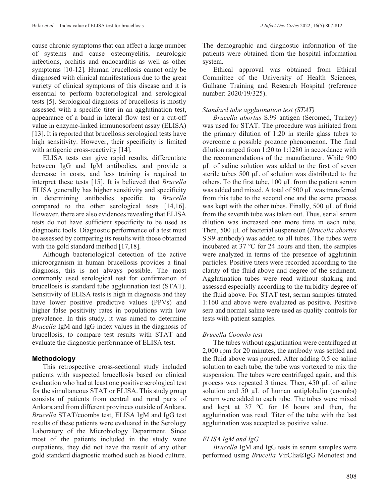cause chronic symptoms that can affect a large number of systems and cause osteomyelitis, neurologic infections, orchitis and endocarditis as well as other symptoms [10-12]. Human brucellosis cannot only be diagnosed with clinical manifestations due to the great variety of clinical symptoms of this disease and it is essential to perform bacteriological and serological tests [5]. Serological diagnosis of brucellosis is mostly assessed with a specific titer in an agglutination test, appearance of a band in lateral flow test or a cut-off value in enzyme-linked immunosorbent assay (ELISA) [13]. It is reported that brucellosis serological tests have high sensitivity. However, their specificity is limited with antigenic cross-reactivity [14].

ELISA tests can give rapid results, differentiate between IgG and IgM antibodies, and provide a decrease in costs, and less training is required to interpret these tests [15]. It is believed that *Brucella* ELISA generally has higher sensitivity and specificity in determining antibodies specific to *Brucella* compared to the other serological tests [14,16]. However, there are also evidences revealing that ELISA tests do not have sufficient specificity to be used as diagnostic tools. Diagnostic performance of a test must be assessed by comparing its results with those obtained with the gold standard method [17,18].

Although bacteriological detection of the active microorganism in human brucellosis provides a final diagnosis, this is not always possible. The most commonly used serological test for confirmation of brucellosis is standard tube agglutination test (STAT). Sensitivity of ELISA tests is high in diagnosis and they have lower positive predictive values (PPVs) and higher false positivity rates in populations with low prevalence. In this study, it was aimed to determine *Brucella* IgM and IgG index values in the diagnosis of brucellosis, to compare test results with STAT and evaluate the diagnostic performance of ELISA test.

## **Methodology**

This retrospective cross-sectional study included patients with suspected brucellosis based on clinical evaluation who had at least one positive serological test for the simultaneous STAT or ELISA. This study group consists of patients from central and rural parts of Ankara and from different provinces outside of Ankara. *Brucella* STAT/coombs test, ELISA IgM and IgG test results of these patients were evaluated in the Serology Laboratory of the Microbiology Department. Since most of the patients included in the study were outpatients, they did not have the result of any other gold standard diagnostic method such as blood culture.

The demographic and diagnostic information of the patients were obtained from the hospital information system.

Ethical approval was obtained from Ethical Committee of the University of Health Sciences, Gulhane Training and Research Hospital (reference number: 2020/19/325).

#### *Standard tube agglutination test (STAT)*

*Brucella abortus* S.99 antigen (Seromed, Turkey) was used for STAT. The procedure was initiated from the primary dilution of 1:20 in sterile glass tubes to overcome a possible prozone phenomenon. The final dilution ranged from 1:20 to 1:1280 in accordance with the recommendations of the manufacturer. While 900 µL of saline solution was added to the first of seven sterile tubes 500 µL of solution was distributed to the others. To the first tube, 100 µL from the patient serum was added and mixed. A total of 500 µL was transferred from this tube to the second one and the same process was kept with the other tubes. Finally, 500 µL of fluid from the seventh tube was taken out. Thus, serial serum dilution was increased one more time in each tube. Then, 500 µL of bacterial suspension (*Brucella abortus* S.99 antibody) was added to all tubes. The tubes were incubated at 37 ºC for 24 hours and then, the samples were analyzed in terms of the presence of agglutinin particles. Positive titers were recorded according to the clarity of the fluid above and degree of the sediment. Agglutination tubes were read without shaking and assessed especially according to the turbidity degree of the fluid above. For STAT test, serum samples titrated 1:160 and above were evaluated as positive. Positive sera and normal saline were used as quality controls for tests with patient samples.

## *Brucella Coombs test*

The tubes without agglutination were centrifuged at 2,000 rpm for 20 minutes, the antibody was settled and the fluid above was poured. After adding 0.5 cc saline solution to each tube, the tube was vortexed to mix the suspension. The tubes were centrifuged again, and this process was repeated 3 times. Then, 450 µL of saline solution and 50  $\mu$ L of human antiglobulin (coombs) serum were added to each tube. The tubes were mixed and kept at 37 ºC for 16 hours and then, the agglutination was read. Titer of the tube with the last agglutination was accepted as positive value.

## *ELISA IgM and IgG*

*Brucella* IgM and IgG tests in serum samples were performed using *Brucella* VirClia®IgG Monotest and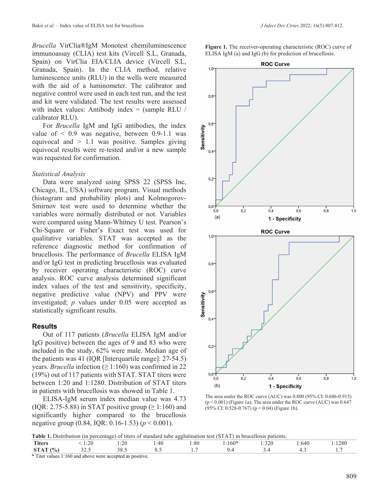*Brucella* VirClia®IgM Monotest chemiluminescence immunoassay (CLIA) test kits (Vircell S.L, Granada, Spain) on VirClia EIA/CLIA device (Vircell S.L, Granada, Spain). In the CLIA method, relative luminescence units (RLU) in the wells were measured with the aid of a luminometer. The calibrator and negative control were used in each test run, and the test and kit were validated. The test results were assessed with index values: Antibody index = (sample RLU / calibrator RLU).

For *Brucella* IgM and IgG antibodies, the index value of  $\leq 0.9$  was negative, between 0.9-1.1 was equivocal and  $> 1.1$  was positive. Samples giving equivocal results were re-tested and/or a new sample was requested for confirmation.

#### *Statistical Analysis*

Data were analyzed using SPSS 22 (SPSS Inc, Chicago, IL, USA) software program. Visual methods (histogram and probability plots) and Kolmogorov-Smirnov test were used to determine whether the variables were normally distributed or not. Variables were compared using Mann-Whitney U test. Pearson's Chi-Square or Fisher's Exact test was used for qualitative variables. STAT was accepted as the reference diagnostic method for confirmation of brucellosis. The performance of *Brucella* ELISA IgM and/or IgG test in predicting brucellosis was evaluated by receiver operating characteristic (ROC) curve analysis. ROC curve analysis determined significant index values of the test and sensitivity, specificity, negative predictive value (NPV) and PPV were investigated; *p* values under 0.05 were accepted as statistically significant results.

#### **Results**

Out of 117 patients (*Brucella* ELISA IgM and/or IgG positive) between the ages of 9 and 83 who were included in the study, 62% were male. Median age of the patients was 41 (IQR [Interquartile range]: 27-54.5) years. *Brucella* infection ( $\geq$  1:160) was confirmed in 22 (19%) out of 117 patients with STAT. STAT titers were between 1:20 and 1:1280. Distribution of STAT titers in patients with brucellosis was showed in Table 1.

ELISA-IgM serum index median value was 4.73 (IQR: 2.75-5.88) in STAT positive group ( $\geq$  1:160) and significantly higher compared to the brucellosis negative group (0.84, IQR: 0.16-1.53) (*p* < 0.001).

**Figure 1.** The receiver-operating characteristic (ROC) curve of ELISA IgM (a) and IgG (b) for prediction of brucellosis.



The area under the ROC curve (AUC) was 0.800 (95% CI: 0.686-0.915) (p < 0.001) (Figure 1a); The area under the ROC curve (AUC) was 0.647  $(95\% \text{ CI: } 0.528 - 0.767)$  (p = 0.04) (Figure 1b).

|  |  |  | Table 1. Distribution (in percentage) of titers of standard tube agglutination test (STAT) in brucellosis patients. |  |  |
|--|--|--|---------------------------------------------------------------------------------------------------------------------|--|--|
|--|--|--|---------------------------------------------------------------------------------------------------------------------|--|--|

|                                       |                | ---------                               |              |      |                                                   |              |       |                    |
|---------------------------------------|----------------|-----------------------------------------|--------------|------|---------------------------------------------------|--------------|-------|--------------------|
| <b>Titers</b>                         | $\sim$<br>1.LV | $\overline{\mathcal{C}}$<br>⊥.∠∪<br>___ | ۔ 40:<br>___ | 1:80 | $\sim$ $\sim$ $\sim$<br>$\therefore 1607$<br>$ -$ | 1:320<br>___ | .∶64€ | $\bigcap$<br>.1280 |
| (0)<br>CTP<br>70,<br>5IA <sub>1</sub> | .              | د.ەد                                    | ◡.。          |      |                                                   |              | ⊤.∟   |                    |
|                                       |                |                                         |              |      |                                                   |              |       |                    |

\* Titer values 1:160 and above were accepted as positive.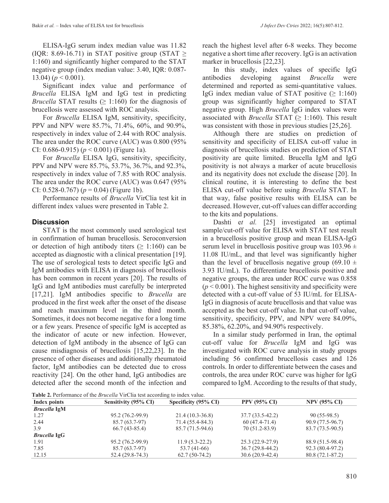ELISA-IgG serum index median value was 11.82 (IQR: 8.69-16.71) in STAT positive group (STAT  $\geq$ 1:160) and significantly higher compared to the STAT negative group (index median value: 3.40, IQR: 0.087- 13.04)  $(p < 0.001)$ .

Significant index value and performance of *Brucella* ELISA IgM and IgG test in predicting *Brucella* STAT results  $(≥ 1:160)$  for the diagnosis of brucellosis were assessed with ROC analysis.

For *Brucella* ELISA IgM, sensitivity, specificity, PPV and NPV were 85.7%, 71.4%, 60%, and 90.9%, respectively in index value of 2.44 with ROC analysis. The area under the ROC curve (AUC) was 0.800 (95% CI: 0.686-0.915) (*p* < 0.001) (Figure 1a).

For *Brucella* ELISA IgG, sensitivity, specificity, PPV and NPV were 85.7%, 53.7%, 36.7%, and 92.3%, respectively in index value of 7.85 with ROC analysis. The area under the ROC curve (AUC) was 0.647 (95% CI:  $0.528 - 0.767$ ) ( $p = 0.04$ ) (Figure 1b).

Performance results of *Brucella* VirClia test kit in different index values were presented in Table 2.

## **Discussion**

STAT is the most commonly used serological test in confirmation of human brucellosis. Seroconversion or detection of high antibody titers  $(> 1:160)$  can be accepted as diagnostic with a clinical presentation [19]. The use of serological tests to detect specific IgG and IgM antibodies with ELISA in diagnosis of brucellosis has been common in recent years [20]. The results of IgG and IgM antibodies must carefully be interpreted [17,21]. IgM antibodies specific to *Brucella* are produced in the first week after the onset of the disease and reach maximum level in the third month. Sometimes, it does not become negative for a long time or a few years. Presence of specific IgM is accepted as the indicator of acute or new infection. However, detection of IgM antibody in the absence of IgG can cause misdiagnosis of brucellosis [15,22,23]. In the presence of other diseases and additionally rheumatoid factor, IgM antibodies can be detected due to cross reactivity [24]. On the other hand, IgG antibodies are detected after the second month of the infection and

reach the highest level after 6-8 weeks. They become negative a short time after recovery. IgG is an activation marker in brucellosis [22,23].

In this study, index values of specific IgG antibodies developing against *Brucella* were determined and reported as semi-quantitative values. IgG index median value of STAT positive  $(≥ 1:160)$ group was significantly higher compared to STAT negative group. High *Brucella* IgG index values were associated with *Brucella* STAT ( $\geq$  1:160). This result was consistent with those in previous studies [25,26].

Although there are studies on prediction of sensitivity and specificity of ELISA cut-off value in diagnosis of brucellosis studies on prediction of STAT positivity are quite limited. Brucella IgM and IgG positivity is not always a marker of acute brucellosis and its negativity does not exclude the disease [20]. In clinical routine, it is interesting to define the best ELISA cut-off value before using *Brucella* STAT. In that way, false positive results with ELISA can be decreased. However, cut-off values can differ according to the kits and populations.

Dashti e*t al.* [25] investigated an optimal sample/cut-off value for ELISA with STAT test result in a brucellosis positive group and mean ELISA-IgG serum level in brucellosis positive group was  $103.96 \pm$ 11.08 IU/mL, and that level was significantly higher than the level of brucellosis negative group (69.10  $\pm$ 3.93 IU/mL). To differentiate brucellosis positive and negative groups, the area under ROC curve was 0.858  $(p < 0.001)$ . The highest sensitivity and specificity were detected with a cut-off value of 53 IU/mL for ELISA-IgG in diagnosis of acute brucellosis and that value was accepted as the best cut-off value. In that cut-off value, sensitivity, specificity, PPV, and NPV were 84.09%, 85.38%, 62.20%, and 94.90% respectively.

In a similar study performed in Iran, the optimal cut-off value for *Brucella* IgM and IgG was investigated with ROC curve analysis in study groups including 56 confirmed brucellosis cases and 126 controls. In order to differentiate between the cases and controls, the area under ROC curve was higher for IgG compared to IgM. According to the results of that study,

**Table 2.** Performance of the *Brucella* VirClia test according to index value.

|                     | <b>Table 2.</b> Performance of the <i>Brucella</i> VIrcina lest according to moex value. |                      |                     |                     |
|---------------------|------------------------------------------------------------------------------------------|----------------------|---------------------|---------------------|
| Index points        | Sensitivity (95% CI)                                                                     | Specificity (95% CI) | <b>PPV (95% CI)</b> | <b>NPV (95% CI)</b> |
| <b>Brucella IgM</b> |                                                                                          |                      |                     |                     |
| 1.27                | 95.2 (76.2-99.9)                                                                         | $21.4(10.3-36.8)$    | $37.7(33.5-42.2)$   | $90(55-98.5)$       |
| 2.44                | 85.7 (63.7-97)                                                                           | 71.4 (55.4-84.3)     | $60(47.4-71.4)$     | 90.9 (77.5-96.7)    |
| 3.9                 | $66.7(43-85.4)$                                                                          | 85.7 (71.5-94.6)     | 70 (51.2-83.9)      | 83.7 (73.5-90.5)    |
| <b>Brucella IgG</b> |                                                                                          |                      |                     |                     |
| 1.91                | 95.2 (76.2-99.9)                                                                         | $11.9(5.3-22.2)$     | $25.3(22.9-27.9)$   | 88.9 (51.5-98.4)    |
| 7.85                | 85.7 (63.7-97)                                                                           | 53.7 (41-66)         | $36.7(29.8-44.2)$   | 92.3 (80.4-97.2)    |
| 12.15               | $52.4(29.8-74.3)$                                                                        | $62.7(50-74.2)$      | $30.6(20.9-42.4)$   | $80.8(72.1-87.2)$   |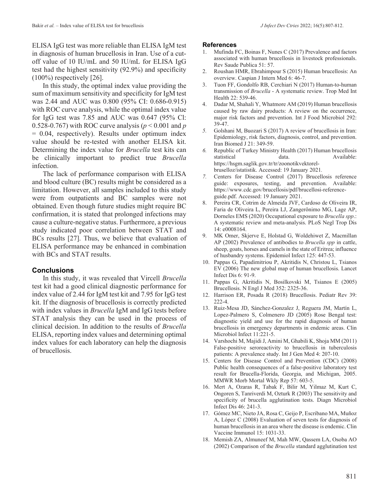ELISA IgG test was more reliable than ELISA IgM test in diagnosis of human brucellosis in Iran. Use of a cutoff value of 10 IU/mL and 50 IU/mL for ELISA IgG test had the highest sensitivity (92.9%) and specificity  $(100\%)$  respectively [26].

In this study, the optimal index value providing the sum of maximum sensitivity and specificity for IgM test was 2.44 and AUC was 0.800 (95% CI: 0.686-0.915) with ROC curve analysis, while the optimal index value for IgG test was 7.85 and AUC was 0.647 (95% Cl: 0.528-0.767) with ROC curve analysis (*p* < 0.001 and *p*  $= 0.04$ , respectively). Results under optimum index value should be re-tested with another ELISA kit. Determining the index value for *Brucella* test kits can be clinically important to predict true *Brucella* infection.

The lack of performance comparison with ELISA and blood culture (BC) results might be considered as a limitation. However, all samples included to this study were from outpatients and BC samples were not obtained. Even though future studies might require BC confirmation, it is stated that prolonged infections may cause a culture-negative status. Furthermore, a previous study indicated poor correlation between STAT and BCs results [27]. Thus, we believe that evaluation of ELISA performance may be enhanced in combination with BCs and STAT results.

## **Conclusions**

In this study, it was revealed that Vircell *Brucella* test kit had a good clinical diagnostic performance for index value of 2.44 for IgM test kit and 7.95 for IgG test kit. If the diagnosis of brucellosis is correctly predicted with index values in *Brucella* IgM and IgG tests before STAT analysis they can be used in the process of clinical decision. In addition to the results of *Brucella* ELISA, reporting index values and determining optimal index values for each laboratory can help the diagnosis of brucellosis.

#### **References**

- Mufinda FC, Boinas F, Nunes C (2017) Prevalence and factors associated with human brucellosis in livestock professionals. Rev Saude Publica 51: 57.
- 2. Roushan HMR, Ebrahimpour S (2015) Human brucellosis: An overview. Caspian J Intern Med 6: 46-7.
- 3. Tuon FF, Gondolfo RB, Cerchiari N (2017) Human-to-human transmission of *Brucella* - A systematic review. Trop Med Int Health 22: 539-46.
- 4. Dadar M, Shahali Y, Whatmore AM (2019) Human brucellosis caused by raw dairy products: A review on the occurrence, major risk factors and prevention. Int J Food Microbiol 292: 39-47.
- *5.* Golshani M, Buozari S (2017) A review of brucellosis in Iran: Epidemiology, risk factors, diagnosis, control, and prevention. Iran Biomed J 21: 349-59.
- *6.* Republic of Turkey Ministry Health (2017) Human brucellosis statistical data. Available: https://hsgm.saglik.gov.tr/tr/zoonotikvektorelbruselloz/istatistik. Accessed: 19 January 2021*.*
- *7.* Centers for Disease Control (2017) Brucellosis reference guide: exposures, testing, and prevention. Available: https://www.cdc.gov/brucellosis/pdf/brucellosi-referenceguide.pdf. Accessed: 19 January 2021.
- 8. Pereira CR, Cotrim de Almeida JVF, Cardoso de Oliveira IR, Faria de Oliveira L, Pereira LJ, Zangerônimo MG, Lage AP, Dorneles EMS (2020) Occupational exposure to *Brucella spp*.: A systematic review and meta-analysis. PLoS Negl Trop Dis 14: e0008164.
- 9. MK Omer, Skjerve E, Holstad G, Woldehiwet Z, Macmillan AP (2002) Prevalence of antibodies to *Brucella spp* in cattle, sheep, goats, horses and camels in the state of Eritrea; influence of husbandry systems. Epidemiol Infect 125: 447-53.
- 10. Pappas G, Papadimitriou P, Akritidis N, Christou L, Tsianos EV (2006) The new global map of human brucellosis. Lancet Infect Dis 6: 91-9.
- 11. Pappas G, Akritidis N, Bosilkovski M, Tsianos E (2005) Brucellosis. N Engl J Med 352: 2325-36.
- 12. Harrison ER, Posada R (2018) Brucellosis. Pediatr Rev 39: 222-4.
- 13. Ruiz-Mesa JD, Sánchez-Gonzalez J, Reguera JM, Martín L, Lopez-Palmero S, Colmenero JD (2005) Rose Bengal test: diagnostic yield and use for the rapid diagnosis of human brucellosis in emergency departments in endemic areas. Clin Microbiol Infect 11:221-5.
- 14. Varshochi M, Majidi J, Amini M, Ghabili K, Shoja MM (2011) False-positive seroreactivity to brucellosis in tuberculosis patients: A prevalence study. Int J Gen Med 4: 207-10.
- 15. Centers for Disease Control and Prevention (CDC) (2008) Public health consequences of a false-positive laboratory test result for Brucella-Florida, Georgia, and Michigan, 2005. MMWR Morb Mortal Wkly Rep 57: 603-5.
- 16. Mert A, Ozaras R, Tabak F, Bilir M, Yilmaz M, Kurt C, Ongoren S, Tanriverdi M, Ozturk R (2003) The sensitivity and specificity of brucella agglutination tests. Diagn Microbiol Infect Dis 46: 241-3.
- 17. Gómez MC, Nieto JA, Rosa C, Geijo P, Escribano MA, Muñoz A, López C (2008) Evaluation of seven tests for diagnosis of human brucellosis in an area where the disease is endemic. Clin Vaccine Immunol 15: 1031-33.
- 18. Memish ZA, Almuneef M, Mah MW, Qassem LA, Osoba AO (2002) Comparison of the *Brucella* standard agglutination test